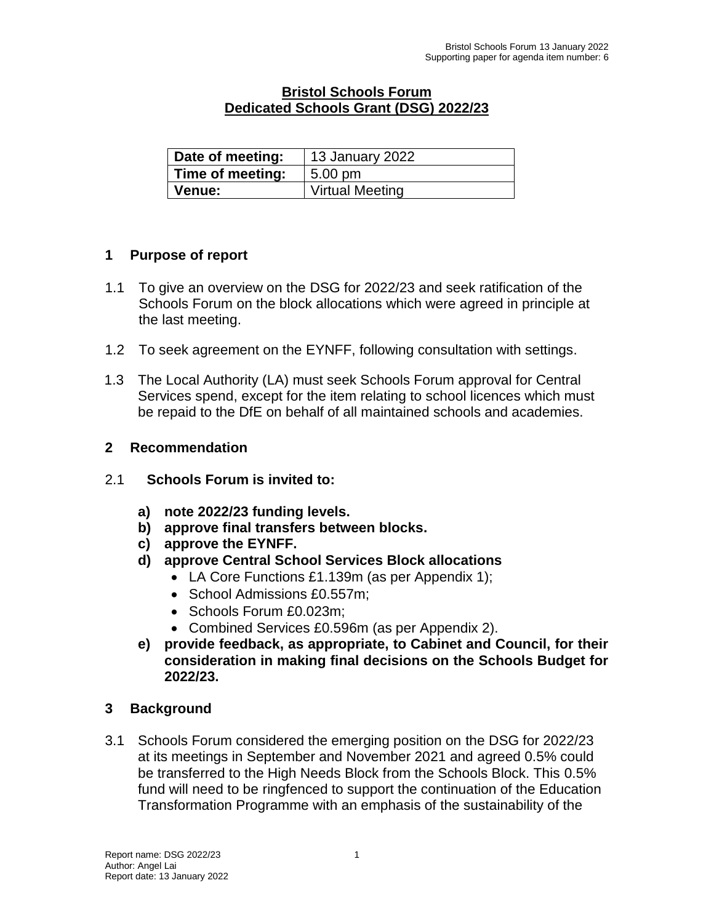## **Bristol Schools Forum Dedicated Schools Grant (DSG) 2022/23**

| Date of meeting: | 13 January 2022        |
|------------------|------------------------|
| Time of meeting: | $5.00 \text{ pm}$      |
| ∣ Venue:         | <b>Virtual Meeting</b> |

## **1 Purpose of report**

- 1.1 To give an overview on the DSG for 2022/23 and seek ratification of the Schools Forum on the block allocations which were agreed in principle at the last meeting.
- 1.2 To seek agreement on the EYNFF, following consultation with settings.
- 1.3 The Local Authority (LA) must seek Schools Forum approval for Central Services spend, except for the item relating to school licences which must be repaid to the DfE on behalf of all maintained schools and academies.

## **2 Recommendation**

- 2.1 **Schools Forum is invited to:**
	- **a) note 2022/23 funding levels.**
	- **b) approve final transfers between blocks.**
	- **c) approve the EYNFF.**
	- **d) approve Central School Services Block allocations**
		- LA Core Functions £1.139m (as per Appendix 1);
		- School Admissions £0.557m;
		- Schools Forum £0.023m:
		- Combined Services £0.596m (as per Appendix 2).
	- **e) provide feedback, as appropriate, to Cabinet and Council, for their consideration in making final decisions on the Schools Budget for 2022/23.**

## **3 Background**

3.1 Schools Forum considered the emerging position on the DSG for 2022/23 at its meetings in September and November 2021 and agreed 0.5% could be transferred to the High Needs Block from the Schools Block. This 0.5% fund will need to be ringfenced to support the continuation of the Education Transformation Programme with an emphasis of the sustainability of the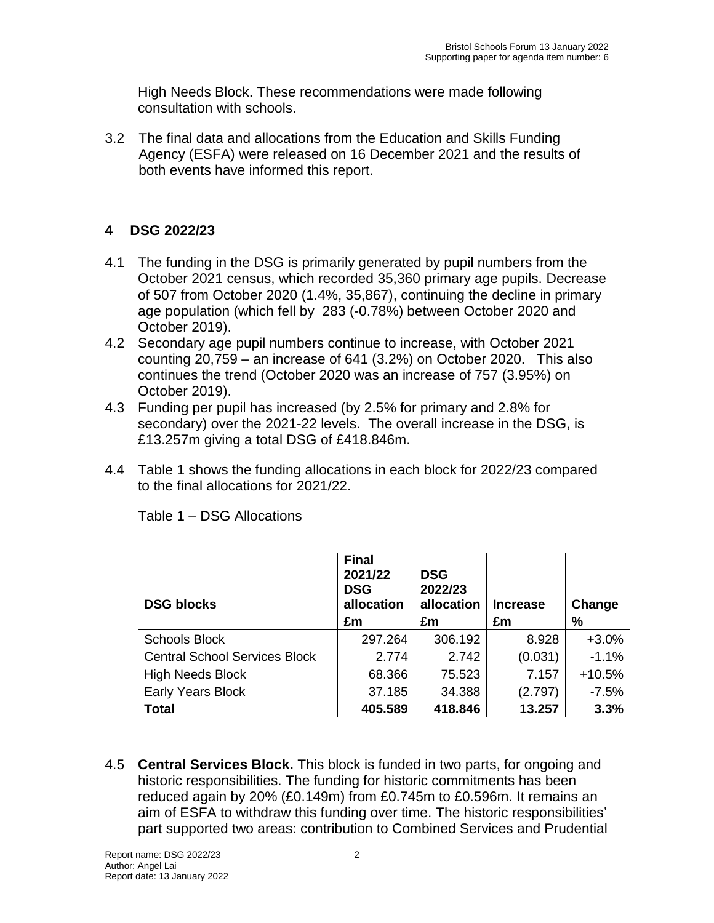High Needs Block. These recommendations were made following consultation with schools.

3.2 The final data and allocations from the Education and Skills Funding Agency (ESFA) were released on 16 December 2021 and the results of both events have informed this report.

# **4 DSG 2022/23**

- 4.1 The funding in the DSG is primarily generated by pupil numbers from the October 2021 census, which recorded 35,360 primary age pupils. Decrease of 507 from October 2020 (1.4%, 35,867), continuing the decline in primary age population (which fell by 283 (-0.78%) between October 2020 and October 2019).
- 4.2 Secondary age pupil numbers continue to increase, with October 2021 counting 20,759 – an increase of 641 (3.2%) on October 2020. This also continues the trend (October 2020 was an increase of 757 (3.95%) on October 2019).
- 4.3 Funding per pupil has increased (by 2.5% for primary and 2.8% for secondary) over the 2021-22 levels. The overall increase in the DSG, is £13.257m giving a total DSG of £418.846m.
- 4.4 Table 1 shows the funding allocations in each block for 2022/23 compared to the final allocations for 2021/22.

| <b>DSG blocks</b>                    | <b>Final</b><br>2021/22<br><b>DSG</b><br>allocation | <b>DSG</b><br>2022/23<br>allocation | <b>Increase</b> | Change   |
|--------------------------------------|-----------------------------------------------------|-------------------------------------|-----------------|----------|
|                                      | £m                                                  | £m                                  | £m              | %        |
| <b>Schools Block</b>                 | 297.264                                             | 306.192                             | 8.928           | $+3.0%$  |
| <b>Central School Services Block</b> | 2.774                                               | 2.742                               | (0.031)         | $-1.1%$  |
| <b>High Needs Block</b>              | 68.366                                              | 75.523                              | 7.157           | $+10.5%$ |
| <b>Early Years Block</b>             | 37.185                                              | 34.388                              | (2.797)         | $-7.5%$  |
| <b>Total</b>                         | 405.589                                             | 418.846                             | 13.257          | 3.3%     |

Table 1 – DSG Allocations

4.5 **Central Services Block.** This block is funded in two parts, for ongoing and historic responsibilities. The funding for historic commitments has been reduced again by 20% (£0.149m) from £0.745m to £0.596m. It remains an aim of ESFA to withdraw this funding over time. The historic responsibilities' part supported two areas: contribution to Combined Services and Prudential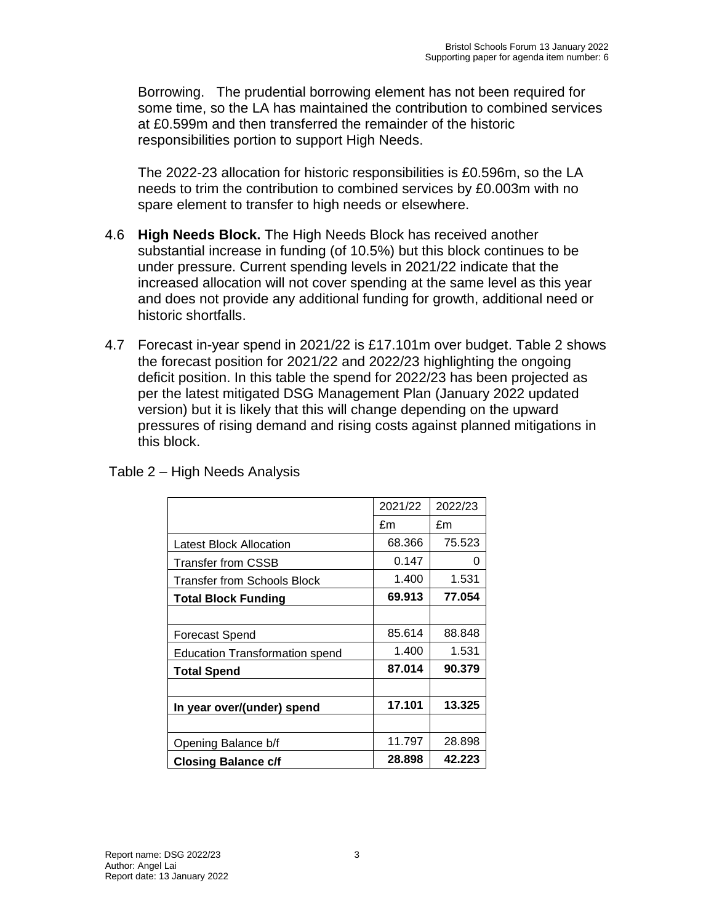Borrowing. The prudential borrowing element has not been required for some time, so the LA has maintained the contribution to combined services at £0.599m and then transferred the remainder of the historic responsibilities portion to support High Needs.

The 2022-23 allocation for historic responsibilities is £0.596m, so the LA needs to trim the contribution to combined services by £0.003m with no spare element to transfer to high needs or elsewhere.

- 4.6 **High Needs Block.** The High Needs Block has received another substantial increase in funding (of 10.5%) but this block continues to be under pressure. Current spending levels in 2021/22 indicate that the increased allocation will not cover spending at the same level as this year and does not provide any additional funding for growth, additional need or historic shortfalls.
- 4.7 Forecast in-year spend in 2021/22 is £17.101m over budget. Table 2 shows the forecast position for 2021/22 and 2022/23 highlighting the ongoing deficit position. In this table the spend for 2022/23 has been projected as per the latest mitigated DSG Management Plan (January 2022 updated version) but it is likely that this will change depending on the upward pressures of rising demand and rising costs against planned mitigations in this block.

Table 2 – High Needs Analysis

|                                       | 2021/22 | 2022/23 |
|---------------------------------------|---------|---------|
|                                       | £m      | £m      |
| Latest Block Allocation               | 68.366  | 75.523  |
| Transfer from CSSB                    | 0.147   | 0       |
| Transfer from Schools Block           | 1.400   | 1.531   |
| Total Block Funding                   | 69.913  | 77.054  |
|                                       |         |         |
| Forecast Spend                        | 85.614  | 88.848  |
| <b>Education Transformation spend</b> | 1.400   | 1.531   |
| Total Spend                           | 87.014  | 90.379  |
|                                       |         |         |
| In year over/(under) spend            | 17.101  | 13.325  |
|                                       |         |         |
| Opening Balance b/f                   | 11.797  | 28.898  |
| <b>Closing Balance c/f</b>            | 28.898  | 42.223  |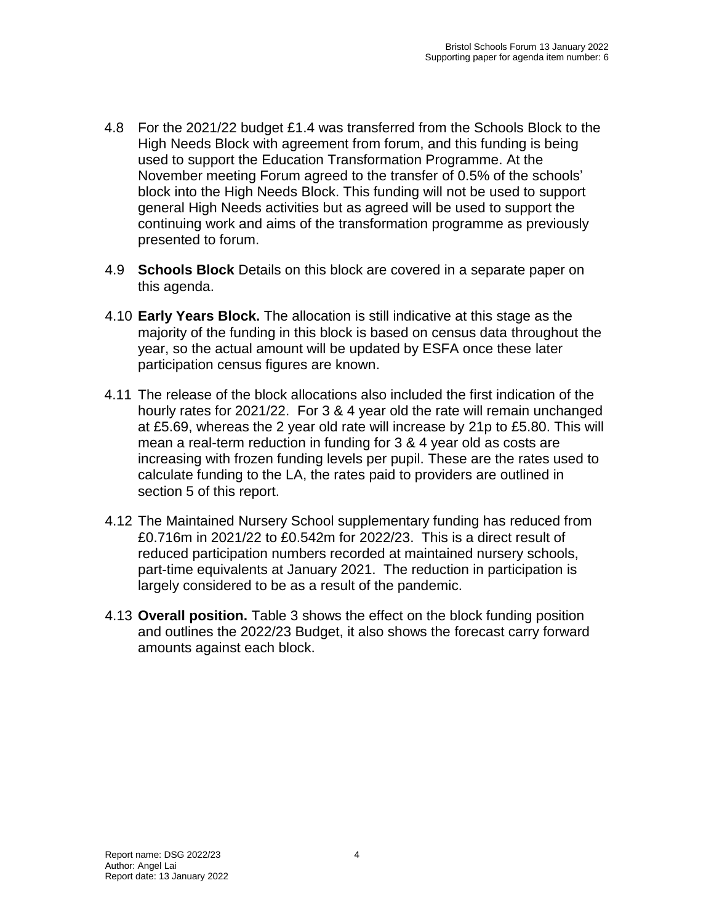- 4.8 For the 2021/22 budget £1.4 was transferred from the Schools Block to the High Needs Block with agreement from forum, and this funding is being used to support the Education Transformation Programme. At the November meeting Forum agreed to the transfer of 0.5% of the schools' block into the High Needs Block. This funding will not be used to support general High Needs activities but as agreed will be used to support the continuing work and aims of the transformation programme as previously presented to forum.
- 4.9 **Schools Block** Details on this block are covered in a separate paper on this agenda.
- 4.10 **Early Years Block.** The allocation is still indicative at this stage as the majority of the funding in this block is based on census data throughout the year, so the actual amount will be updated by ESFA once these later participation census figures are known.
- 4.11 The release of the block allocations also included the first indication of the hourly rates for 2021/22. For 3 & 4 year old the rate will remain unchanged at £5.69, whereas the 2 year old rate will increase by 21p to £5.80. This will mean a real-term reduction in funding for 3 & 4 year old as costs are increasing with frozen funding levels per pupil. These are the rates used to calculate funding to the LA, the rates paid to providers are outlined in section 5 of this report.
- 4.12 The Maintained Nursery School supplementary funding has reduced from £0.716m in 2021/22 to £0.542m for 2022/23. This is a direct result of reduced participation numbers recorded at maintained nursery schools, part-time equivalents at January 2021. The reduction in participation is largely considered to be as a result of the pandemic.
- 4.13 **Overall position.** Table 3 shows the effect on the block funding position and outlines the 2022/23 Budget, it also shows the forecast carry forward amounts against each block.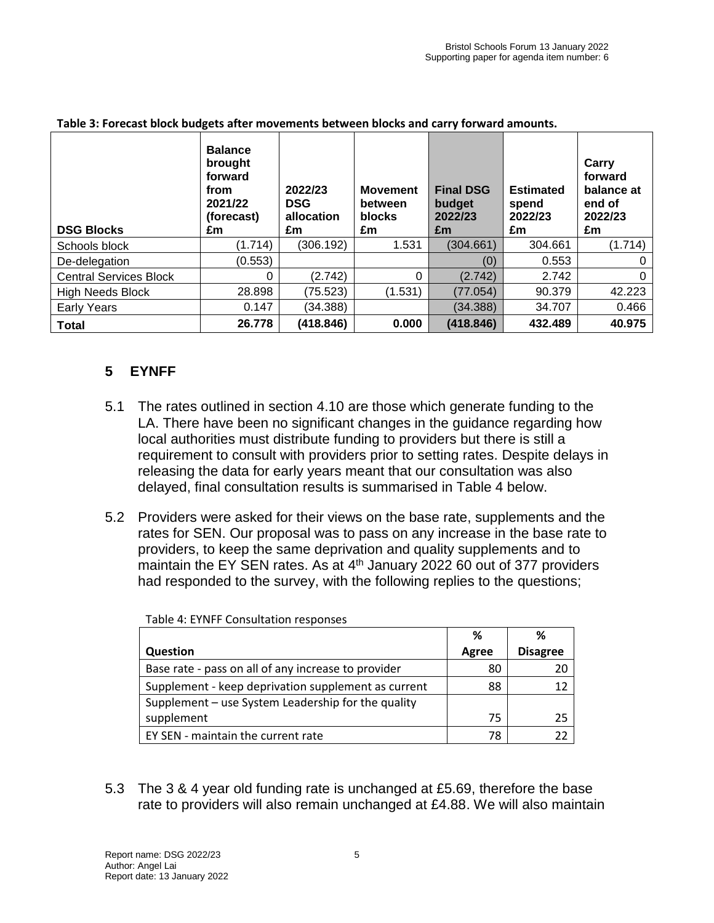| <b>DSG Blocks</b>             | <b>Balance</b><br>brought<br>forward<br>from<br>2021/22<br>(forecast)<br>£m | 2022/23<br><b>DSG</b><br>allocation<br>£m | <b>Movement</b><br>between<br>blocks<br>£m | <b>Final DSG</b><br>budget<br>2022/23<br>£m | <b>Estimated</b><br>spend<br>2022/23<br>£m | Carry<br>forward<br>balance at<br>end of<br>2022/23<br>£m |
|-------------------------------|-----------------------------------------------------------------------------|-------------------------------------------|--------------------------------------------|---------------------------------------------|--------------------------------------------|-----------------------------------------------------------|
| Schools block                 | (1.714)                                                                     | (306.192)                                 | 1.531                                      | (304.661)                                   | 304.661                                    | (1.714)                                                   |
| De-delegation                 | (0.553)                                                                     |                                           |                                            | (0)                                         | 0.553                                      | $\Omega$                                                  |
| <b>Central Services Block</b> | 0                                                                           | (2.742)                                   | $\Omega$                                   | (2.742)                                     | 2.742                                      | $\Omega$                                                  |
| <b>High Needs Block</b>       | 28.898                                                                      | (75.523)                                  | (1.531)                                    | (77.054)                                    | 90.379                                     | 42.223                                                    |
| Early Years                   | 0.147                                                                       | (34.388)                                  |                                            | (34.388)                                    | 34.707                                     | 0.466                                                     |
| <b>Total</b>                  | 26.778                                                                      | (418.846)                                 | 0.000                                      | (418.846)                                   | 432.489                                    | 40.975                                                    |

#### **Table 3: Forecast block budgets after movements between blocks and carry forward amounts.**

## **5 EYNFF**

- 5.1 The rates outlined in section 4.10 are those which generate funding to the LA. There have been no significant changes in the guidance regarding how local authorities must distribute funding to providers but there is still a requirement to consult with providers prior to setting rates. Despite delays in releasing the data for early years meant that our consultation was also delayed, final consultation results is summarised in Table 4 below.
- 5.2 Providers were asked for their views on the base rate, supplements and the rates for SEN. Our proposal was to pass on any increase in the base rate to providers, to keep the same deprivation and quality supplements and to maintain the EY SEN rates. As at 4<sup>th</sup> January 2022 60 out of 377 providers had responded to the survey, with the following replies to the questions;

|                                                     | %     | ℅               |
|-----------------------------------------------------|-------|-----------------|
| Question                                            | Agree | <b>Disagree</b> |
| Base rate - pass on all of any increase to provider | 80    | 20              |
| Supplement - keep deprivation supplement as current | 88    | 12              |
| Supplement - use System Leadership for the quality  |       |                 |
| supplement                                          | 75    | 25              |
| EY SEN - maintain the current rate                  | 78    | つつ              |

Table 4: EYNFF Consultation responses

5.3 The 3 & 4 year old funding rate is unchanged at £5.69, therefore the base rate to providers will also remain unchanged at £4.88. We will also maintain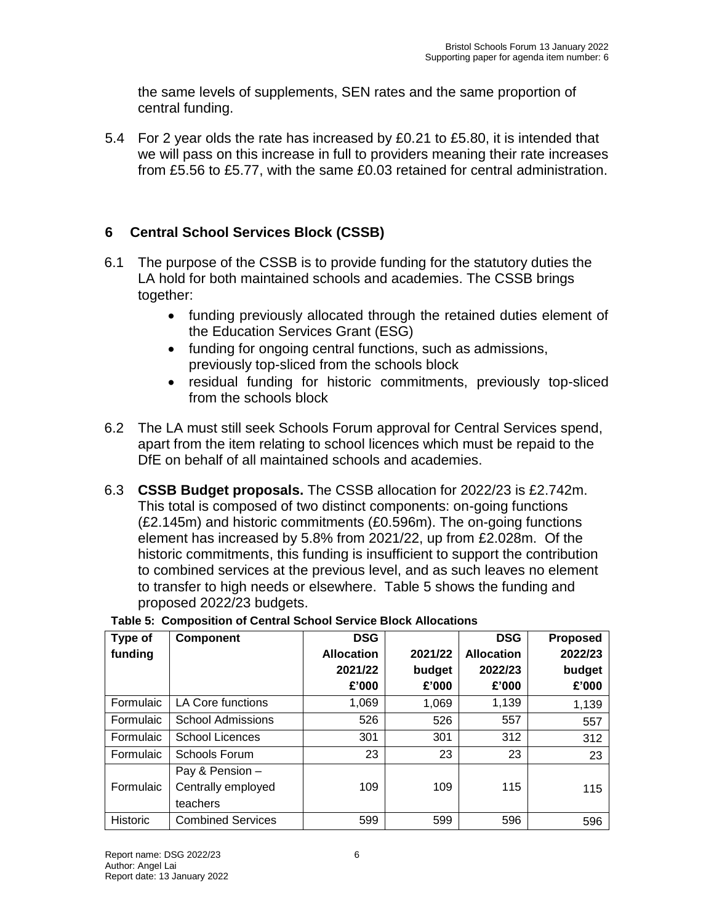the same levels of supplements, SEN rates and the same proportion of central funding.

5.4 For 2 year olds the rate has increased by £0.21 to £5.80, it is intended that we will pass on this increase in full to providers meaning their rate increases from £5.56 to £5.77, with the same £0.03 retained for central administration.

# **6 Central School Services Block (CSSB)**

- 6.1 The purpose of the CSSB is to provide funding for the statutory duties the LA hold for both maintained schools and academies. The CSSB brings together:
	- funding previously allocated through the retained duties element of the Education Services Grant (ESG)
	- funding for ongoing central functions, such as admissions, previously top-sliced from the schools block
	- residual funding for historic commitments, previously top-sliced from the schools block
- 6.2 The LA must still seek Schools Forum approval for Central Services spend, apart from the item relating to school licences which must be repaid to the DfE on behalf of all maintained schools and academies.
- 6.3 **CSSB Budget proposals.** The CSSB allocation for 2022/23 is £2.742m. This total is composed of two distinct components: on-going functions (£2.145m) and historic commitments (£0.596m). The on-going functions element has increased by 5.8% from 2021/22, up from £2.028m. Of the historic commitments, this funding is insufficient to support the contribution to combined services at the previous level, and as such leaves no element to transfer to high needs or elsewhere. Table 5 shows the funding and proposed 2022/23 budgets.

| Type of<br>funding | Component                                         | <b>DSG</b><br><b>Allocation</b><br>2021/22<br>£'000 | 2021/22<br>budget<br>£'000 | <b>DSG</b><br><b>Allocation</b><br>2022/23<br>£'000 | <b>Proposed</b><br>2022/23<br>budget<br>£'000 |
|--------------------|---------------------------------------------------|-----------------------------------------------------|----------------------------|-----------------------------------------------------|-----------------------------------------------|
| Formulaic          | <b>LA Core functions</b>                          | 1,069                                               | 1,069                      | 1,139                                               | 1,139                                         |
| Formulaic          | <b>School Admissions</b>                          | 526                                                 | 526                        | 557                                                 | 557                                           |
| Formulaic          | <b>School Licences</b>                            | 301                                                 | 301                        | 312                                                 | 312                                           |
| Formulaic          | Schools Forum                                     | 23                                                  | 23                         | 23                                                  | 23                                            |
| Formulaic          | Pay & Pension -<br>Centrally employed<br>teachers | 109                                                 | 109                        | 115                                                 | 115                                           |
| Historic           | <b>Combined Services</b>                          | 599                                                 | 599                        | 596                                                 | 596                                           |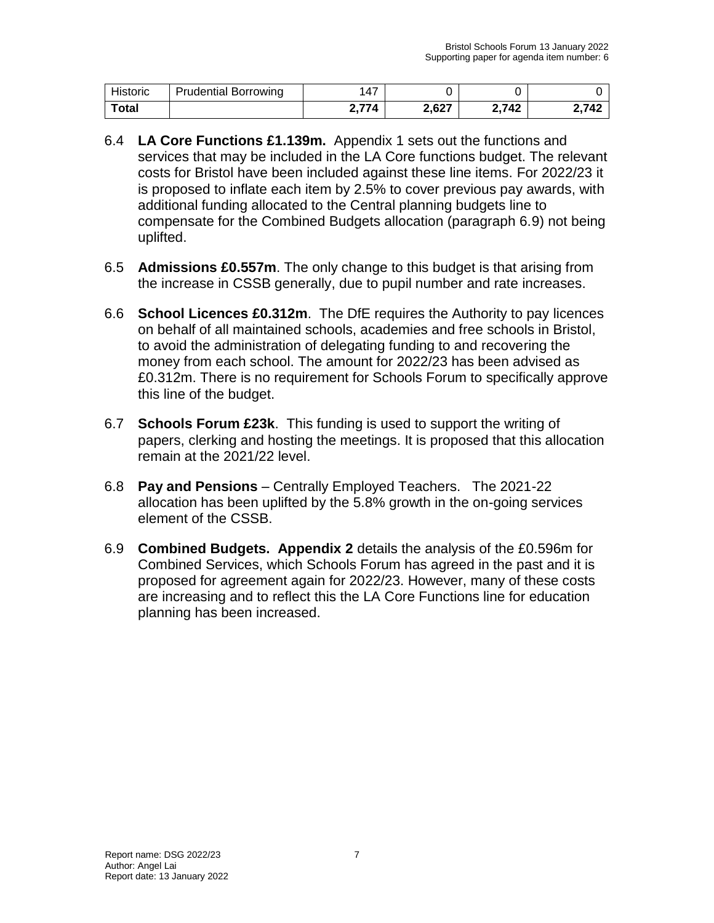| Historic | <b>Prudential Borrowing</b> | .47  |       |       |       |
|----------|-----------------------------|------|-------|-------|-------|
| Total    |                             | 2771 | 2,627 | 2,742 | 2.742 |

- 6.4 **LA Core Functions £1.139m.** Appendix 1 sets out the functions and services that may be included in the LA Core functions budget. The relevant costs for Bristol have been included against these line items. For 2022/23 it is proposed to inflate each item by 2.5% to cover previous pay awards, with additional funding allocated to the Central planning budgets line to compensate for the Combined Budgets allocation (paragraph 6.9) not being uplifted.
- 6.5 **Admissions £0.557m**. The only change to this budget is that arising from the increase in CSSB generally, due to pupil number and rate increases.
- 6.6 **School Licences £0.312m**. The DfE requires the Authority to pay licences on behalf of all maintained schools, academies and free schools in Bristol, to avoid the administration of delegating funding to and recovering the money from each school. The amount for 2022/23 has been advised as £0.312m. There is no requirement for Schools Forum to specifically approve this line of the budget.
- 6.7 **Schools Forum £23k**. This funding is used to support the writing of papers, clerking and hosting the meetings. It is proposed that this allocation remain at the 2021/22 level.
- 6.8 **Pay and Pensions**  Centrally Employed Teachers. The 2021-22 allocation has been uplifted by the 5.8% growth in the on-going services element of the CSSB.
- 6.9 **Combined Budgets. Appendix 2** details the analysis of the £0.596m for Combined Services, which Schools Forum has agreed in the past and it is proposed for agreement again for 2022/23. However, many of these costs are increasing and to reflect this the LA Core Functions line for education planning has been increased.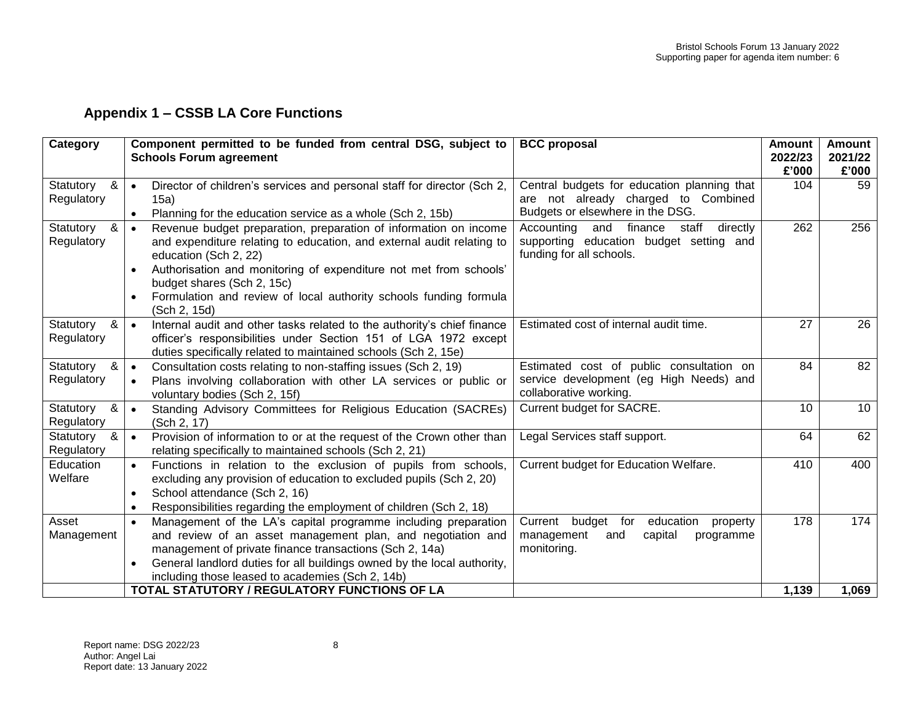# **Appendix 1 – CSSB LA Core Functions**

| Category                     | Component permitted to be funded from central DSG, subject to<br><b>Schools Forum agreement</b>                                                                                                                                                                                                                                                                                      | <b>BCC</b> proposal                                                                                                    | <b>Amount</b><br>2022/23<br>£'000 | Amount<br>2021/22<br>£'000 |
|------------------------------|--------------------------------------------------------------------------------------------------------------------------------------------------------------------------------------------------------------------------------------------------------------------------------------------------------------------------------------------------------------------------------------|------------------------------------------------------------------------------------------------------------------------|-----------------------------------|----------------------------|
| Statutory<br>&<br>Regulatory | Director of children's services and personal staff for director (Sch 2,<br>$\bullet$<br>15a)<br>Planning for the education service as a whole (Sch 2, 15b)<br>$\bullet$                                                                                                                                                                                                              | Central budgets for education planning that<br>are not already charged to Combined<br>Budgets or elsewhere in the DSG. | 104                               | 59                         |
| &<br>Statutory<br>Regulatory | Revenue budget preparation, preparation of information on income<br>$\bullet$<br>and expenditure relating to education, and external audit relating to<br>education (Sch 2, 22)<br>Authorisation and monitoring of expenditure not met from schools'<br>$\bullet$<br>budget shares (Sch 2, 15c)<br>Formulation and review of local authority schools funding formula<br>(Sch 2, 15d) | directly<br>and finance<br>staff<br>Accounting<br>supporting education budget setting and<br>funding for all schools.  | 262                               | 256                        |
| &<br>Statutory<br>Regulatory | Internal audit and other tasks related to the authority's chief finance<br>$\bullet$<br>officer's responsibilities under Section 151 of LGA 1972 except<br>duties specifically related to maintained schools (Sch 2, 15e)                                                                                                                                                            | Estimated cost of internal audit time.                                                                                 | 27                                | 26                         |
| &<br>Statutory<br>Regulatory | Consultation costs relating to non-staffing issues (Sch 2, 19)<br>$\bullet$<br>Plans involving collaboration with other LA services or public or<br>$\bullet$<br>voluntary bodies (Sch 2, 15f)                                                                                                                                                                                       | Estimated cost of public consultation on<br>service development (eg High Needs) and<br>collaborative working.          | 84                                | 82                         |
| Statutory<br>&<br>Regulatory | Standing Advisory Committees for Religious Education (SACREs)<br>$\bullet$<br>(Sch 2, 17)                                                                                                                                                                                                                                                                                            | Current budget for SACRE.                                                                                              | 10                                | 10                         |
| &<br>Statutory<br>Regulatory | Provision of information to or at the request of the Crown other than<br>$\bullet$<br>relating specifically to maintained schools (Sch 2, 21)                                                                                                                                                                                                                                        | Legal Services staff support.                                                                                          | 64                                | 62                         |
| Education<br>Welfare         | Functions in relation to the exclusion of pupils from schools,<br>$\bullet$<br>excluding any provision of education to excluded pupils (Sch 2, 20)<br>School attendance (Sch 2, 16)<br>$\bullet$<br>Responsibilities regarding the employment of children (Sch 2, 18)<br>$\bullet$                                                                                                   | Current budget for Education Welfare.                                                                                  | 410                               | 400                        |
| Asset<br>Management          | Management of the LA's capital programme including preparation<br>$\bullet$<br>and review of an asset management plan, and negotiation and<br>management of private finance transactions (Sch 2, 14a)<br>General landlord duties for all buildings owned by the local authority,<br>$\bullet$<br>including those leased to academies (Sch 2, 14b)                                    | Current<br>budget for<br>education<br>property<br>management<br>capital<br>and<br>programme<br>monitoring.             | 178                               | 174                        |
|                              | TOTAL STATUTORY / REGULATORY FUNCTIONS OF LA                                                                                                                                                                                                                                                                                                                                         |                                                                                                                        | 1,139                             | 1,069                      |